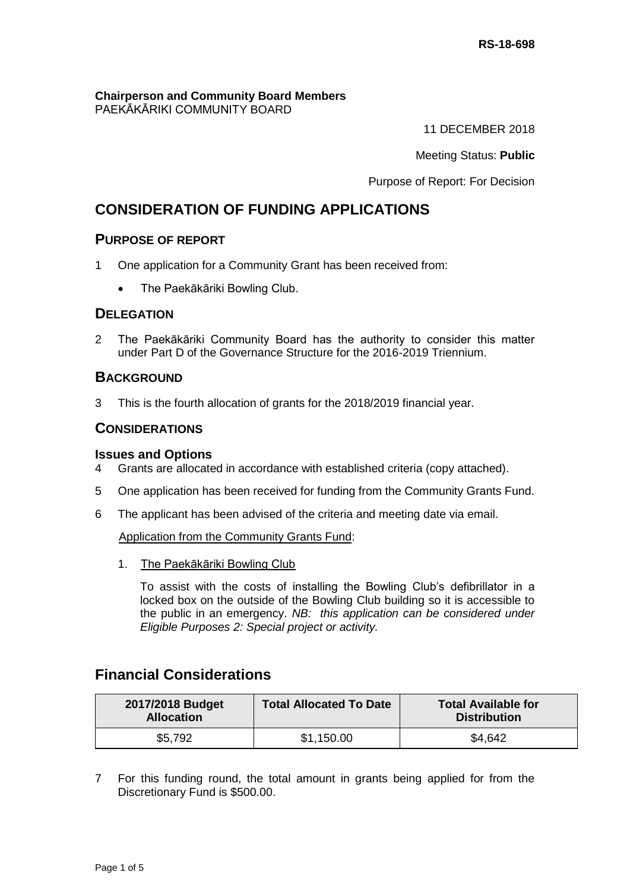**Chairperson and Community Board Members** PAEKĀKĀRIKI COMMUNITY BOARD

11 DECEMBER 2018

Meeting Status: **Public**

Purpose of Report: For Decision

# **CONSIDERATION OF FUNDING APPLICATIONS**

## **PURPOSE OF REPORT**

- 1 One application for a Community Grant has been received from:
	- The Paekākāriki Bowling Club.

## **DELEGATION**

2 The Paekākāriki Community Board has the authority to consider this matter under Part D of the Governance Structure for the 2016-2019 Triennium.

## **BACKGROUND**

3 This is the fourth allocation of grants for the 2018/2019 financial year.

## **CONSIDERATIONS**

#### **Issues and Options**

- 4 Grants are allocated in accordance with established criteria (copy attached).
- 5 One application has been received for funding from the Community Grants Fund.
- 6 The applicant has been advised of the criteria and meeting date via email.

Application from the Community Grants Fund:

1. The Paekākāriki Bowling Club

To assist with the costs of installing the Bowling Club's defibrillator in a locked box on the outside of the Bowling Club building so it is accessible to the public in an emergency. *NB: this application can be considered under Eligible Purposes 2: Special project or activity.*

# **Financial Considerations**

| 2017/2018 Budget<br><b>Allocation</b> | <b>Total Allocated To Date</b> | <b>Total Available for</b><br><b>Distribution</b> |
|---------------------------------------|--------------------------------|---------------------------------------------------|
| \$5,792                               | \$1,150.00                     | \$4,642                                           |

7 For this funding round, the total amount in grants being applied for from the Discretionary Fund is \$500.00.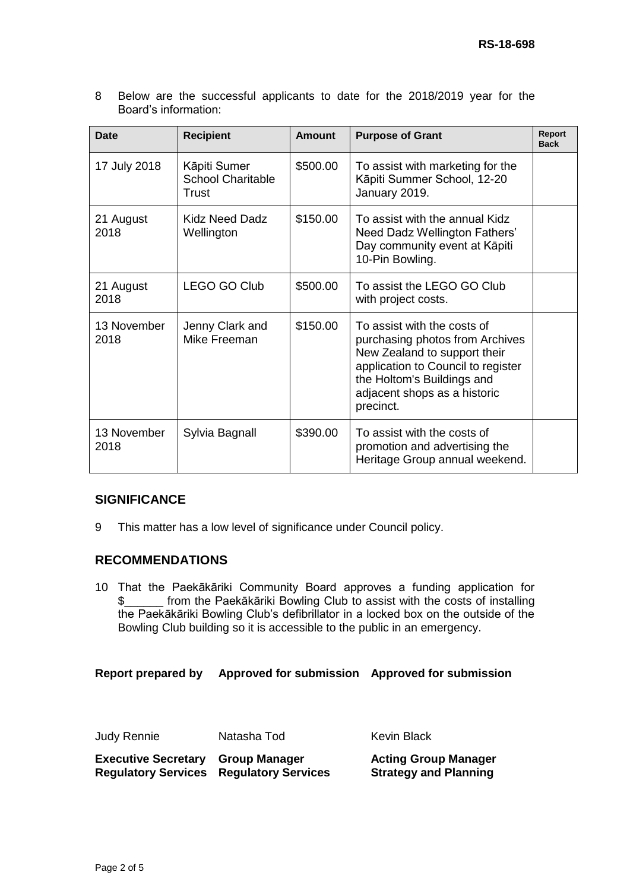8 Below are the successful applicants to date for the 2018/2019 year for the Board's information:

| Date                | <b>Recipient</b>                                  | Amount   | <b>Purpose of Grant</b>                                                                                                                                                                                         | Report<br><b>Back</b> |
|---------------------|---------------------------------------------------|----------|-----------------------------------------------------------------------------------------------------------------------------------------------------------------------------------------------------------------|-----------------------|
| 17 July 2018        | Kāpiti Sumer<br><b>School Charitable</b><br>Trust | \$500.00 | To assist with marketing for the<br>Kāpiti Summer School, 12-20<br>January 2019.                                                                                                                                |                       |
| 21 August<br>2018   | Kidz Need Dadz<br>Wellington                      | \$150.00 | To assist with the annual Kidz<br>Need Dadz Wellington Fathers'<br>Day community event at Kāpiti<br>10-Pin Bowling.                                                                                             |                       |
| 21 August<br>2018   | <b>LEGO GO Club</b>                               | \$500.00 | To assist the LEGO GO Club<br>with project costs.                                                                                                                                                               |                       |
| 13 November<br>2018 | Jenny Clark and<br>Mike Freeman                   | \$150.00 | To assist with the costs of<br>purchasing photos from Archives<br>New Zealand to support their<br>application to Council to register<br>the Holtom's Buildings and<br>adjacent shops as a historic<br>precinct. |                       |
| 13 November<br>2018 | Sylvia Bagnall                                    | \$390.00 | To assist with the costs of<br>promotion and advertising the<br>Heritage Group annual weekend.                                                                                                                  |                       |

## **SIGNIFICANCE**

9 This matter has a low level of significance under Council policy.

## **RECOMMENDATIONS**

10 That the Paekākāriki Community Board approves a funding application for \$\_\_\_\_\_\_ from the Paekākāriki Bowling Club to assist with the costs of installing the Paekākāriki Bowling Club's defibrillator in a locked box on the outside of the Bowling Club building so it is accessible to the public in an emergency.

**Report prepared by Approved for submission Approved for submission**

Judy Rennie Matasha Tod Kevin Black

| <b>Executive Secretary Group Manager</b> |                                                | <b>Acting Group Manager</b>  |
|------------------------------------------|------------------------------------------------|------------------------------|
|                                          | <b>Regulatory Services Regulatory Services</b> | <b>Strategy and Planning</b> |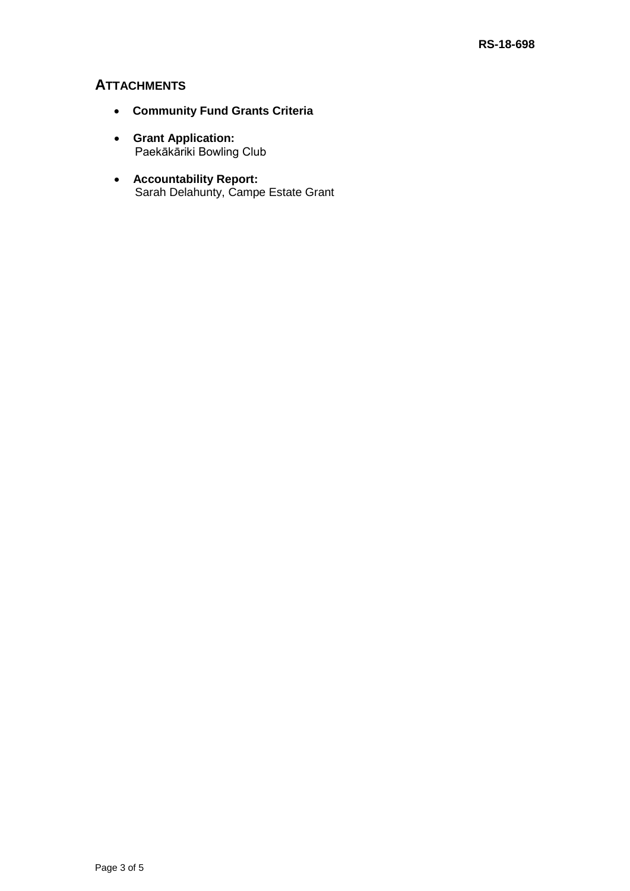## **ATTACHMENTS**

- **Community Fund Grants Criteria**
- **Grant Application:** Paekākāriki Bowling Club
- **Accountability Report:** Sarah Delahunty, Campe Estate Grant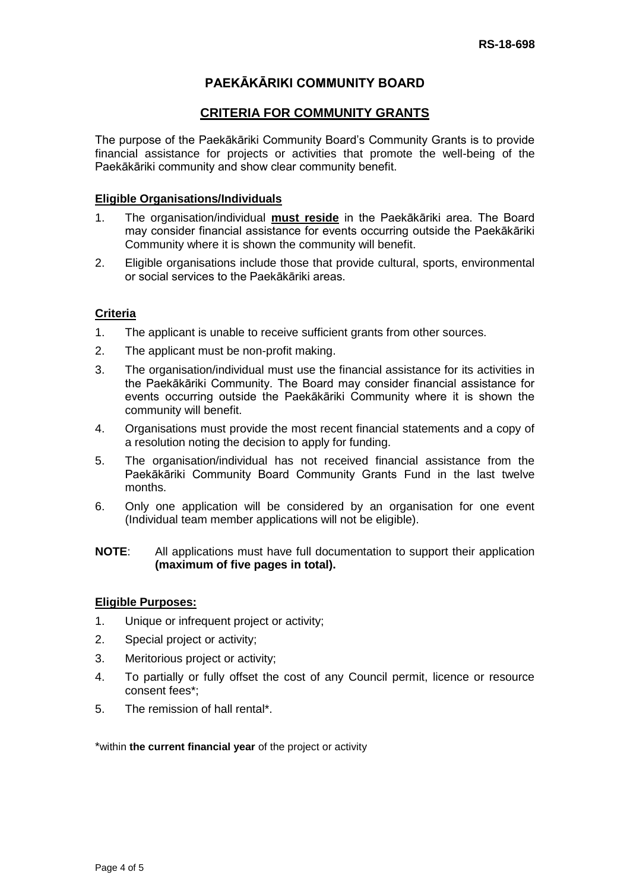# **PAEKĀKĀRIKI COMMUNITY BOARD**

## **CRITERIA FOR COMMUNITY GRANTS**

The purpose of the Paekākāriki Community Board's Community Grants is to provide financial assistance for projects or activities that promote the well-being of the Paekākāriki community and show clear community benefit.

## **Eligible Organisations/Individuals**

- 1. The organisation/individual **must reside** in the Paekākāriki area. The Board may consider financial assistance for events occurring outside the Paekākāriki Community where it is shown the community will benefit.
- 2. Eligible organisations include those that provide cultural, sports, environmental or social services to the Paekākāriki areas.

## **Criteria**

- 1. The applicant is unable to receive sufficient grants from other sources.
- 2. The applicant must be non-profit making.
- 3. The organisation/individual must use the financial assistance for its activities in the Paekākāriki Community. The Board may consider financial assistance for events occurring outside the Paekākāriki Community where it is shown the community will benefit.
- 4. Organisations must provide the most recent financial statements and a copy of a resolution noting the decision to apply for funding.
- 5. The organisation/individual has not received financial assistance from the Paekākāriki Community Board Community Grants Fund in the last twelve months.
- 6. Only one application will be considered by an organisation for one event (Individual team member applications will not be eligible).

#### **NOTE**: All applications must have full documentation to support their application **(maximum of five pages in total).**

## **Eligible Purposes:**

- 1. Unique or infrequent project or activity;
- 2. Special project or activity;
- 3. Meritorious project or activity;
- 4. To partially or fully offset the cost of any Council permit, licence or resource consent fees\*;
- 5. The remission of hall rental\*.

\*within **the current financial year** of the project or activity